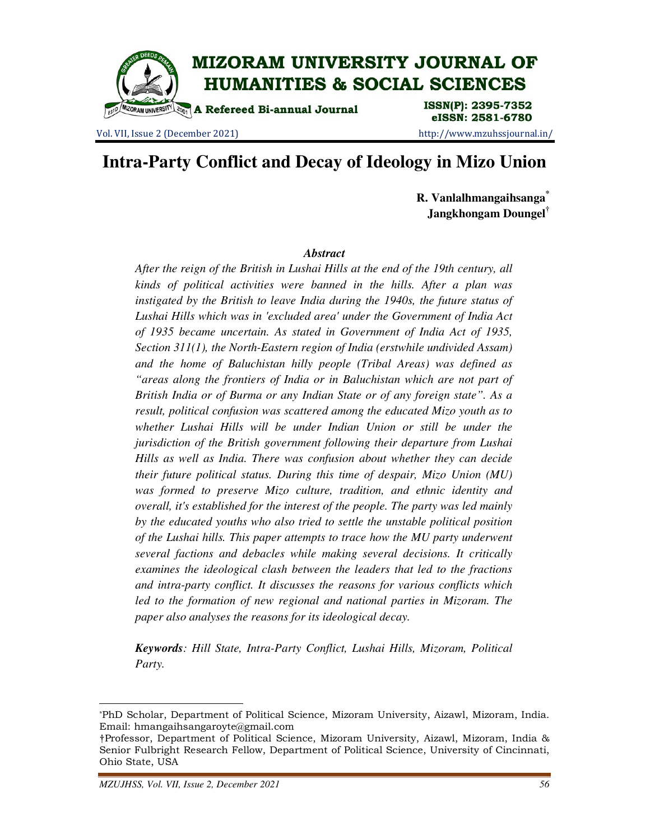

Vol. VII, Issue 2 (December 2021) http://www.mzuhssjournal.in/

eISSN: 2581-6780

# **Intra-Party Conflict and Decay of Ideology in Mizo Union**

**R. Vanlalhmangaihsanga\* Jangkhongam Doungel†**

#### *Abstract*

*After the reign of the British in Lushai Hills at the end of the 19th century, all kinds of political activities were banned in the hills. After a plan was instigated by the British to leave India during the 1940s, the future status of Lushai Hills which was in 'excluded area' under the Government of India Act of 1935 became uncertain. As stated in Government of India Act of 1935, Section 311(1), the North-Eastern region of India (erstwhile undivided Assam) and the home of Baluchistan hilly people (Tribal Areas) was defined as "areas along the frontiers of India or in Baluchistan which are not part of British India or of Burma or any Indian State or of any foreign state". As a result, political confusion was scattered among the educated Mizo youth as to whether Lushai Hills will be under Indian Union or still be under the jurisdiction of the British government following their departure from Lushai Hills as well as India. There was confusion about whether they can decide their future political status. During this time of despair, Mizo Union (MU) was formed to preserve Mizo culture, tradition, and ethnic identity and overall, it's established for the interest of the people. The party was led mainly by the educated youths who also tried to settle the unstable political position of the Lushai hills. This paper attempts to trace how the MU party underwent several factions and debacles while making several decisions. It critically examines the ideological clash between the leaders that led to the fractions and intra-party conflict. It discusses the reasons for various conflicts which*  led to the formation of new regional and national parties in Mizoram. The *paper also analyses the reasons for its ideological decay.* 

*Keywords: Hill State, Intra-Party Conflict, Lushai Hills, Mizoram, Political Party.* 

 $\overline{a}$ 

<sup>\*</sup>PhD Scholar, Department of Political Science, Mizoram University, Aizawl, Mizoram, India. Email: hmangaihsangaroyte@gmail.com

<sup>†</sup>Professor, Department of Political Science, Mizoram University, Aizawl, Mizoram, India & Senior Fulbright Research Fellow, Department of Political Science, University of Cincinnati, Ohio State, USA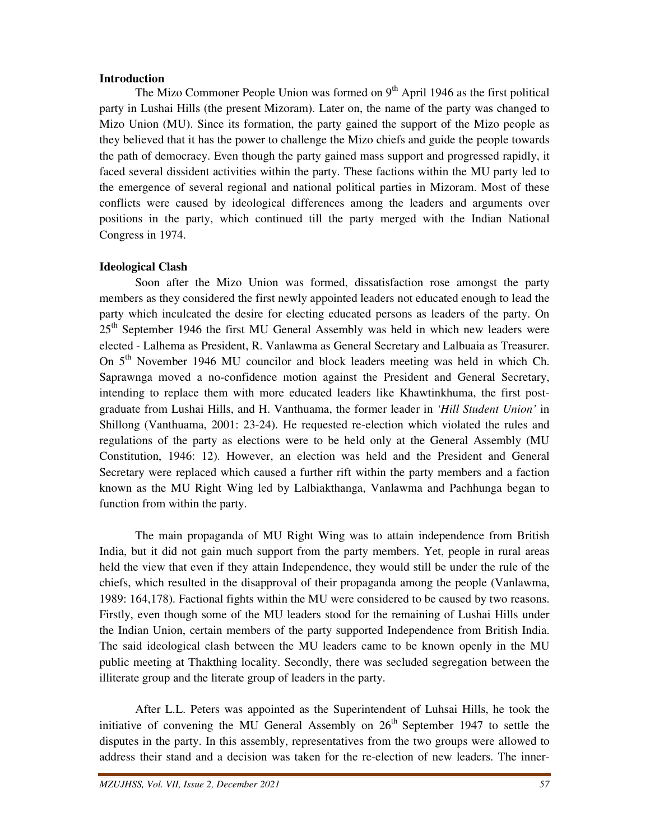#### **Introduction**

The Mizo Commoner People Union was formed on  $9<sup>th</sup>$  April 1946 as the first political party in Lushai Hills (the present Mizoram). Later on, the name of the party was changed to Mizo Union (MU). Since its formation, the party gained the support of the Mizo people as they believed that it has the power to challenge the Mizo chiefs and guide the people towards the path of democracy. Even though the party gained mass support and progressed rapidly, it faced several dissident activities within the party. These factions within the MU party led to the emergence of several regional and national political parties in Mizoram. Most of these conflicts were caused by ideological differences among the leaders and arguments over positions in the party, which continued till the party merged with the Indian National Congress in 1974.

## **Ideological Clash**

Soon after the Mizo Union was formed, dissatisfaction rose amongst the party members as they considered the first newly appointed leaders not educated enough to lead the party which inculcated the desire for electing educated persons as leaders of the party. On 25<sup>th</sup> September 1946 the first MU General Assembly was held in which new leaders were elected - Lalhema as President, R. Vanlawma as General Secretary and Lalbuaia as Treasurer. On 5<sup>th</sup> November 1946 MU councilor and block leaders meeting was held in which Ch. Saprawnga moved a no-confidence motion against the President and General Secretary, intending to replace them with more educated leaders like Khawtinkhuma, the first postgraduate from Lushai Hills, and H. Vanthuama, the former leader in *'Hill Student Union'* in Shillong (Vanthuama, 2001: 23-24). He requested re-election which violated the rules and regulations of the party as elections were to be held only at the General Assembly (MU Constitution, 1946: 12). However, an election was held and the President and General Secretary were replaced which caused a further rift within the party members and a faction known as the MU Right Wing led by Lalbiakthanga, Vanlawma and Pachhunga began to function from within the party.

 The main propaganda of MU Right Wing was to attain independence from British India, but it did not gain much support from the party members. Yet, people in rural areas held the view that even if they attain Independence, they would still be under the rule of the chiefs, which resulted in the disapproval of their propaganda among the people (Vanlawma, 1989: 164,178). Factional fights within the MU were considered to be caused by two reasons. Firstly, even though some of the MU leaders stood for the remaining of Lushai Hills under the Indian Union, certain members of the party supported Independence from British India. The said ideological clash between the MU leaders came to be known openly in the MU public meeting at Thakthing locality. Secondly, there was secluded segregation between the illiterate group and the literate group of leaders in the party.

After L.L. Peters was appointed as the Superintendent of Luhsai Hills, he took the initiative of convening the MU General Assembly on  $26<sup>th</sup>$  September 1947 to settle the disputes in the party. In this assembly, representatives from the two groups were allowed to address their stand and a decision was taken for the re-election of new leaders. The inner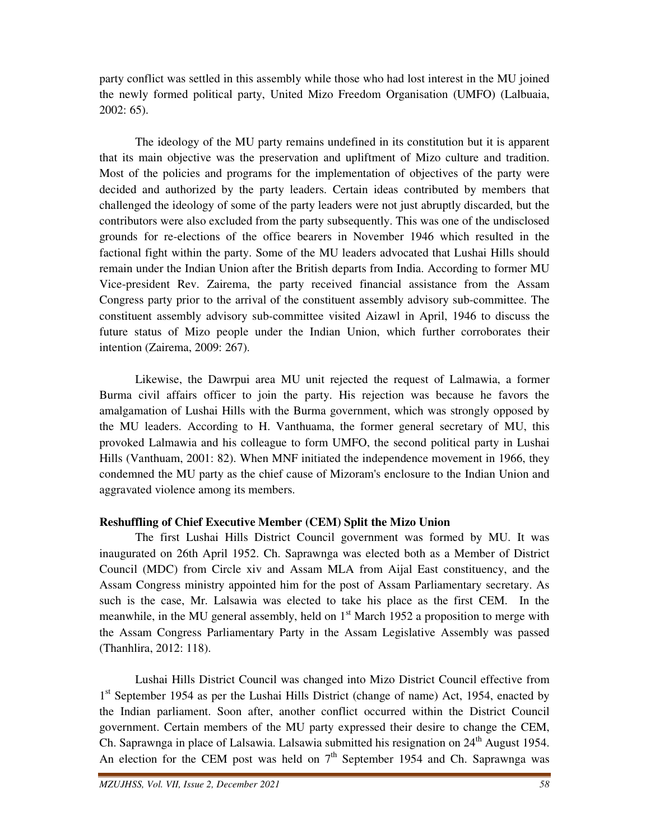party conflict was settled in this assembly while those who had lost interest in the MU joined the newly formed political party, United Mizo Freedom Organisation (UMFO) (Lalbuaia, 2002: 65).

The ideology of the MU party remains undefined in its constitution but it is apparent that its main objective was the preservation and upliftment of Mizo culture and tradition. Most of the policies and programs for the implementation of objectives of the party were decided and authorized by the party leaders. Certain ideas contributed by members that challenged the ideology of some of the party leaders were not just abruptly discarded, but the contributors were also excluded from the party subsequently. This was one of the undisclosed grounds for re-elections of the office bearers in November 1946 which resulted in the factional fight within the party. Some of the MU leaders advocated that Lushai Hills should remain under the Indian Union after the British departs from India. According to former MU Vice-president Rev. Zairema, the party received financial assistance from the Assam Congress party prior to the arrival of the constituent assembly advisory sub-committee. The constituent assembly advisory sub-committee visited Aizawl in April, 1946 to discuss the future status of Mizo people under the Indian Union, which further corroborates their intention (Zairema, 2009: 267).

 Likewise, the Dawrpui area MU unit rejected the request of Lalmawia, a former Burma civil affairs officer to join the party. His rejection was because he favors the amalgamation of Lushai Hills with the Burma government, which was strongly opposed by the MU leaders. According to H. Vanthuama, the former general secretary of MU, this provoked Lalmawia and his colleague to form UMFO, the second political party in Lushai Hills (Vanthuam, 2001: 82). When MNF initiated the independence movement in 1966, they condemned the MU party as the chief cause of Mizoram's enclosure to the Indian Union and aggravated violence among its members.

## **Reshuffling of Chief Executive Member (CEM) Split the Mizo Union**

The first Lushai Hills District Council government was formed by MU. It was inaugurated on 26th April 1952. Ch. Saprawnga was elected both as a Member of District Council (MDC) from Circle xiv and Assam MLA from Aijal East constituency, and the Assam Congress ministry appointed him for the post of Assam Parliamentary secretary. As such is the case, Mr. Lalsawia was elected to take his place as the first CEM. In the meanwhile, in the MU general assembly, held on  $1<sup>st</sup>$  March 1952 a proposition to merge with the Assam Congress Parliamentary Party in the Assam Legislative Assembly was passed (Thanhlira, 2012: 118).

Lushai Hills District Council was changed into Mizo District Council effective from 1<sup>st</sup> September 1954 as per the Lushai Hills District (change of name) Act, 1954, enacted by the Indian parliament. Soon after, another conflict occurred within the District Council government. Certain members of the MU party expressed their desire to change the CEM, Ch. Saprawnga in place of Lalsawia. Lalsawia submitted his resignation on 24<sup>th</sup> August 1954. An election for the CEM post was held on  $7<sup>th</sup>$  September 1954 and Ch. Saprawnga was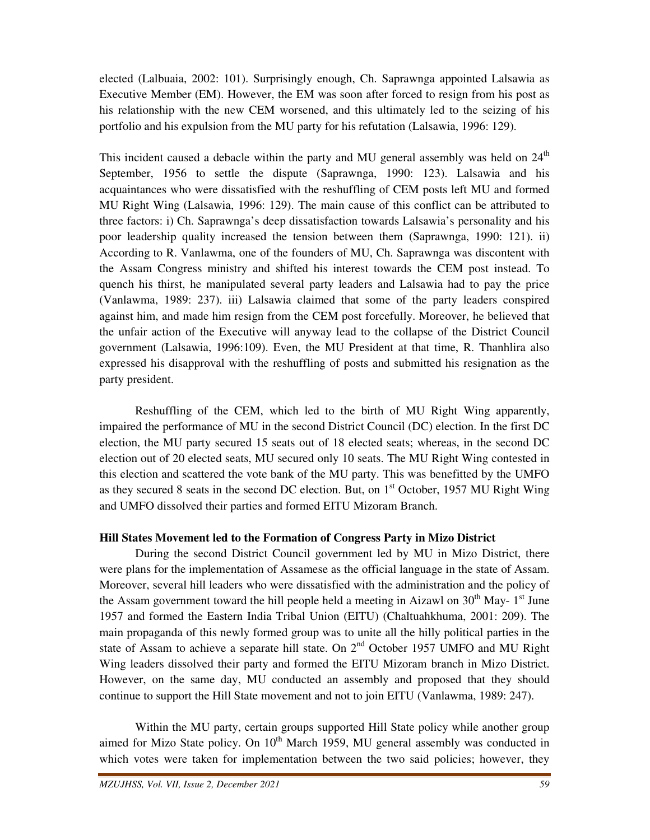elected (Lalbuaia, 2002: 101). Surprisingly enough, Ch. Saprawnga appointed Lalsawia as Executive Member (EM). However, the EM was soon after forced to resign from his post as his relationship with the new CEM worsened, and this ultimately led to the seizing of his portfolio and his expulsion from the MU party for his refutation (Lalsawia, 1996: 129).

This incident caused a debacle within the party and MU general assembly was held on  $24<sup>th</sup>$ September, 1956 to settle the dispute (Saprawnga, 1990: 123). Lalsawia and his acquaintances who were dissatisfied with the reshuffling of CEM posts left MU and formed MU Right Wing (Lalsawia, 1996: 129). The main cause of this conflict can be attributed to three factors: i) Ch. Saprawnga's deep dissatisfaction towards Lalsawia's personality and his poor leadership quality increased the tension between them (Saprawnga, 1990: 121). ii) According to R. Vanlawma, one of the founders of MU, Ch. Saprawnga was discontent with the Assam Congress ministry and shifted his interest towards the CEM post instead. To quench his thirst, he manipulated several party leaders and Lalsawia had to pay the price (Vanlawma, 1989: 237). iii) Lalsawia claimed that some of the party leaders conspired against him, and made him resign from the CEM post forcefully. Moreover, he believed that the unfair action of the Executive will anyway lead to the collapse of the District Council government (Lalsawia, 1996:109). Even, the MU President at that time, R. Thanhlira also expressed his disapproval with the reshuffling of posts and submitted his resignation as the party president.

 Reshuffling of the CEM, which led to the birth of MU Right Wing apparently, impaired the performance of MU in the second District Council (DC) election. In the first DC election, the MU party secured 15 seats out of 18 elected seats; whereas, in the second DC election out of 20 elected seats, MU secured only 10 seats. The MU Right Wing contested in this election and scattered the vote bank of the MU party. This was benefitted by the UMFO as they secured 8 seats in the second DC election. But, on  $1<sup>st</sup>$  October, 1957 MU Right Wing and UMFO dissolved their parties and formed EITU Mizoram Branch.

## **Hill States Movement led to the Formation of Congress Party in Mizo District**

During the second District Council government led by MU in Mizo District, there were plans for the implementation of Assamese as the official language in the state of Assam. Moreover, several hill leaders who were dissatisfied with the administration and the policy of the Assam government toward the hill people held a meeting in Aizawl on  $30<sup>th</sup>$  May- 1<sup>st</sup> June 1957 and formed the Eastern India Tribal Union (EITU) (Chaltuahkhuma, 2001: 209). The main propaganda of this newly formed group was to unite all the hilly political parties in the state of Assam to achieve a separate hill state. On  $2<sup>nd</sup>$  October 1957 UMFO and MU Right Wing leaders dissolved their party and formed the EITU Mizoram branch in Mizo District. However, on the same day, MU conducted an assembly and proposed that they should continue to support the Hill State movement and not to join EITU (Vanlawma, 1989: 247).

Within the MU party, certain groups supported Hill State policy while another group aimed for Mizo State policy. On  $10<sup>th</sup>$  March 1959, MU general assembly was conducted in which votes were taken for implementation between the two said policies; however, they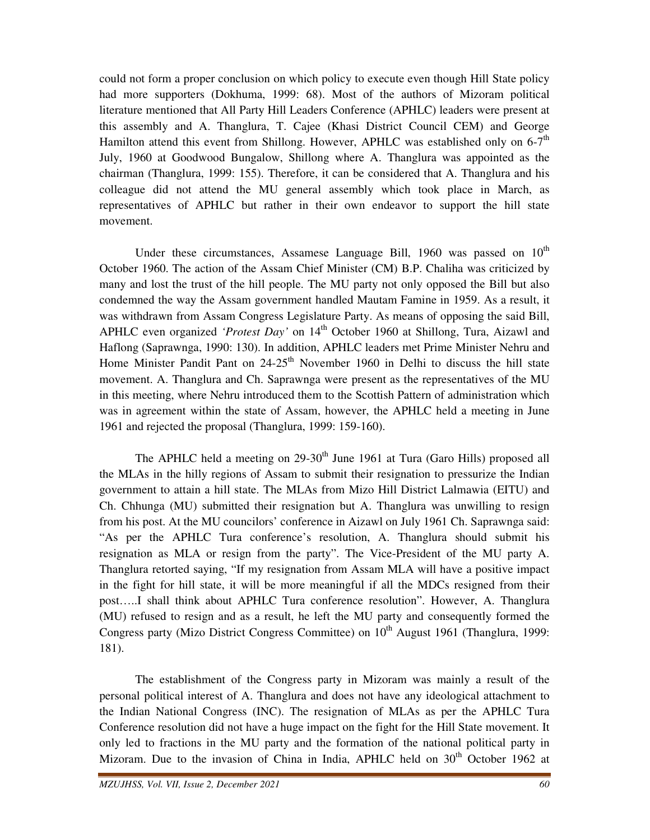could not form a proper conclusion on which policy to execute even though Hill State policy had more supporters (Dokhuma, 1999: 68). Most of the authors of Mizoram political literature mentioned that All Party Hill Leaders Conference (APHLC) leaders were present at this assembly and A. Thanglura, T. Cajee (Khasi District Council CEM) and George Hamilton attend this event from Shillong. However, APHLC was established only on  $6-7<sup>th</sup>$ July, 1960 at Goodwood Bungalow, Shillong where A. Thanglura was appointed as the chairman (Thanglura, 1999: 155). Therefore, it can be considered that A. Thanglura and his colleague did not attend the MU general assembly which took place in March, as representatives of APHLC but rather in their own endeavor to support the hill state movement.

Under these circumstances, Assamese Language Bill, 1960 was passed on  $10<sup>th</sup>$ October 1960. The action of the Assam Chief Minister (CM) B.P. Chaliha was criticized by many and lost the trust of the hill people. The MU party not only opposed the Bill but also condemned the way the Assam government handled Mautam Famine in 1959. As a result, it was withdrawn from Assam Congress Legislature Party. As means of opposing the said Bill, APHLC even organized *'Protest Day'* on 14<sup>th</sup> October 1960 at Shillong, Tura, Aizawl and Haflong (Saprawnga, 1990: 130). In addition, APHLC leaders met Prime Minister Nehru and Home Minister Pandit Pant on  $24{\text -}25^{\text{th}}$  November 1960 in Delhi to discuss the hill state movement. A. Thanglura and Ch. Saprawnga were present as the representatives of the MU in this meeting, where Nehru introduced them to the Scottish Pattern of administration which was in agreement within the state of Assam, however, the APHLC held a meeting in June 1961 and rejected the proposal (Thanglura, 1999: 159-160).

The APHLC held a meeting on 29-30<sup>th</sup> June 1961 at Tura (Garo Hills) proposed all the MLAs in the hilly regions of Assam to submit their resignation to pressurize the Indian government to attain a hill state. The MLAs from Mizo Hill District Lalmawia (EITU) and Ch. Chhunga (MU) submitted their resignation but A. Thanglura was unwilling to resign from his post. At the MU councilors' conference in Aizawl on July 1961 Ch. Saprawnga said: "As per the APHLC Tura conference's resolution, A. Thanglura should submit his resignation as MLA or resign from the party". The Vice-President of the MU party A. Thanglura retorted saying, "If my resignation from Assam MLA will have a positive impact in the fight for hill state, it will be more meaningful if all the MDCs resigned from their post…..I shall think about APHLC Tura conference resolution". However, A. Thanglura (MU) refused to resign and as a result, he left the MU party and consequently formed the Congress party (Mizo District Congress Committee) on  $10<sup>th</sup>$  August 1961 (Thanglura, 1999: 181).

The establishment of the Congress party in Mizoram was mainly a result of the personal political interest of A. Thanglura and does not have any ideological attachment to the Indian National Congress (INC). The resignation of MLAs as per the APHLC Tura Conference resolution did not have a huge impact on the fight for the Hill State movement. It only led to fractions in the MU party and the formation of the national political party in Mizoram. Due to the invasion of China in India, APHLC held on  $30<sup>th</sup>$  October 1962 at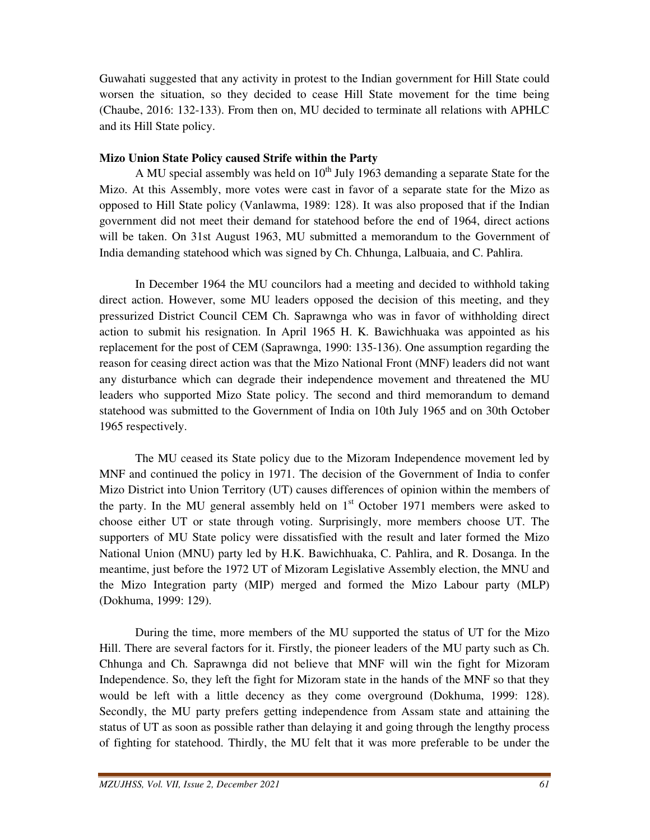Guwahati suggested that any activity in protest to the Indian government for Hill State could worsen the situation, so they decided to cease Hill State movement for the time being (Chaube, 2016: 132-133). From then on, MU decided to terminate all relations with APHLC and its Hill State policy.

## **Mizo Union State Policy caused Strife within the Party**

A MU special assembly was held on  $10^{th}$  July 1963 demanding a separate State for the Mizo. At this Assembly, more votes were cast in favor of a separate state for the Mizo as opposed to Hill State policy (Vanlawma, 1989: 128). It was also proposed that if the Indian government did not meet their demand for statehood before the end of 1964, direct actions will be taken. On 31st August 1963, MU submitted a memorandum to the Government of India demanding statehood which was signed by Ch. Chhunga, Lalbuaia, and C. Pahlira.

In December 1964 the MU councilors had a meeting and decided to withhold taking direct action. However, some MU leaders opposed the decision of this meeting, and they pressurized District Council CEM Ch. Saprawnga who was in favor of withholding direct action to submit his resignation. In April 1965 H. K. Bawichhuaka was appointed as his replacement for the post of CEM (Saprawnga, 1990: 135-136). One assumption regarding the reason for ceasing direct action was that the Mizo National Front (MNF) leaders did not want any disturbance which can degrade their independence movement and threatened the MU leaders who supported Mizo State policy. The second and third memorandum to demand statehood was submitted to the Government of India on 10th July 1965 and on 30th October 1965 respectively.

 The MU ceased its State policy due to the Mizoram Independence movement led by MNF and continued the policy in 1971. The decision of the Government of India to confer Mizo District into Union Territory (UT) causes differences of opinion within the members of the party. In the MU general assembly held on  $1<sup>st</sup>$  October 1971 members were asked to choose either UT or state through voting. Surprisingly, more members choose UT. The supporters of MU State policy were dissatisfied with the result and later formed the Mizo National Union (MNU) party led by H.K. Bawichhuaka, C. Pahlira, and R. Dosanga. In the meantime, just before the 1972 UT of Mizoram Legislative Assembly election, the MNU and the Mizo Integration party (MIP) merged and formed the Mizo Labour party (MLP) (Dokhuma, 1999: 129).

During the time, more members of the MU supported the status of UT for the Mizo Hill. There are several factors for it. Firstly, the pioneer leaders of the MU party such as Ch. Chhunga and Ch. Saprawnga did not believe that MNF will win the fight for Mizoram Independence. So, they left the fight for Mizoram state in the hands of the MNF so that they would be left with a little decency as they come overground (Dokhuma, 1999: 128). Secondly, the MU party prefers getting independence from Assam state and attaining the status of UT as soon as possible rather than delaying it and going through the lengthy process of fighting for statehood. Thirdly, the MU felt that it was more preferable to be under the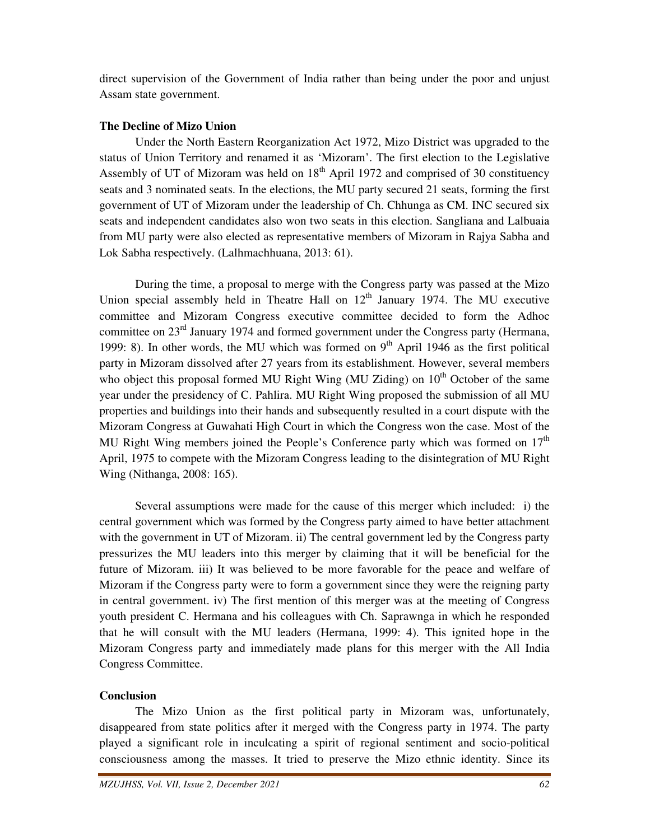direct supervision of the Government of India rather than being under the poor and unjust Assam state government.

## **The Decline of Mizo Union**

Under the North Eastern Reorganization Act 1972, Mizo District was upgraded to the status of Union Territory and renamed it as 'Mizoram'. The first election to the Legislative Assembly of UT of Mizoram was held on  $18<sup>th</sup>$  April 1972 and comprised of 30 constituency seats and 3 nominated seats. In the elections, the MU party secured 21 seats, forming the first government of UT of Mizoram under the leadership of Ch. Chhunga as CM. INC secured six seats and independent candidates also won two seats in this election. Sangliana and Lalbuaia from MU party were also elected as representative members of Mizoram in Rajya Sabha and Lok Sabha respectively. (Lalhmachhuana, 2013: 61).

During the time, a proposal to merge with the Congress party was passed at the Mizo Union special assembly held in Theatre Hall on  $12<sup>th</sup>$  January 1974. The MU executive committee and Mizoram Congress executive committee decided to form the Adhoc committee on  $23<sup>rd</sup>$  January 1974 and formed government under the Congress party (Hermana, 1999: 8). In other words, the MU which was formed on  $9<sup>th</sup>$  April 1946 as the first political party in Mizoram dissolved after 27 years from its establishment. However, several members who object this proposal formed MU Right Wing (MU Ziding) on  $10<sup>th</sup>$  October of the same year under the presidency of C. Pahlira. MU Right Wing proposed the submission of all MU properties and buildings into their hands and subsequently resulted in a court dispute with the Mizoram Congress at Guwahati High Court in which the Congress won the case. Most of the MU Right Wing members joined the People's Conference party which was formed on  $17<sup>th</sup>$ April, 1975 to compete with the Mizoram Congress leading to the disintegration of MU Right Wing (Nithanga, 2008: 165).

Several assumptions were made for the cause of this merger which included: i) the central government which was formed by the Congress party aimed to have better attachment with the government in UT of Mizoram. ii) The central government led by the Congress party pressurizes the MU leaders into this merger by claiming that it will be beneficial for the future of Mizoram. iii) It was believed to be more favorable for the peace and welfare of Mizoram if the Congress party were to form a government since they were the reigning party in central government. iv) The first mention of this merger was at the meeting of Congress youth president C. Hermana and his colleagues with Ch. Saprawnga in which he responded that he will consult with the MU leaders (Hermana, 1999: 4). This ignited hope in the Mizoram Congress party and immediately made plans for this merger with the All India Congress Committee.

# **Conclusion**

The Mizo Union as the first political party in Mizoram was, unfortunately, disappeared from state politics after it merged with the Congress party in 1974. The party played a significant role in inculcating a spirit of regional sentiment and socio-political consciousness among the masses. It tried to preserve the Mizo ethnic identity. Since its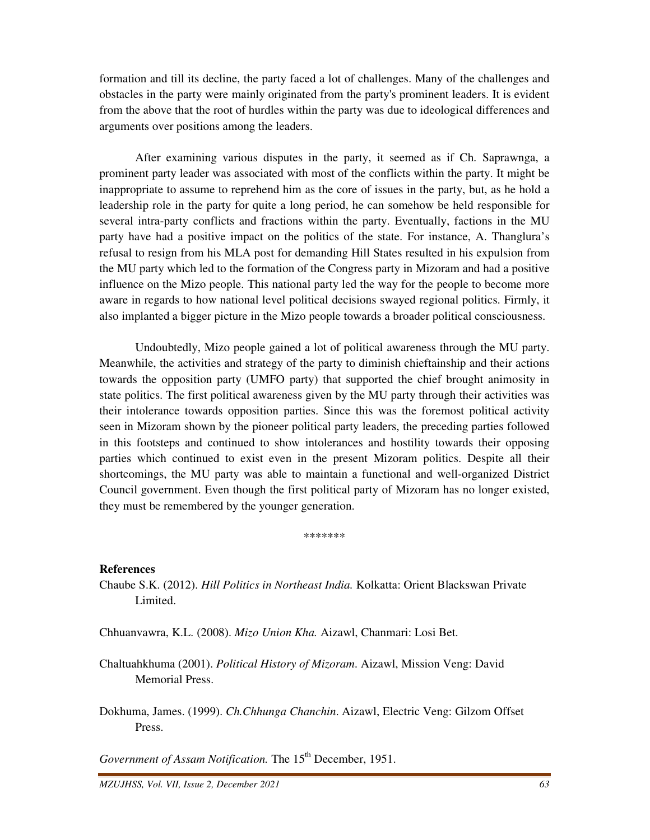formation and till its decline, the party faced a lot of challenges. Many of the challenges and obstacles in the party were mainly originated from the party's prominent leaders. It is evident from the above that the root of hurdles within the party was due to ideological differences and arguments over positions among the leaders.

After examining various disputes in the party, it seemed as if Ch. Saprawnga, a prominent party leader was associated with most of the conflicts within the party. It might be inappropriate to assume to reprehend him as the core of issues in the party, but, as he hold a leadership role in the party for quite a long period, he can somehow be held responsible for several intra-party conflicts and fractions within the party. Eventually, factions in the MU party have had a positive impact on the politics of the state. For instance, A. Thanglura's refusal to resign from his MLA post for demanding Hill States resulted in his expulsion from the MU party which led to the formation of the Congress party in Mizoram and had a positive influence on the Mizo people. This national party led the way for the people to become more aware in regards to how national level political decisions swayed regional politics. Firmly, it also implanted a bigger picture in the Mizo people towards a broader political consciousness.

 Undoubtedly, Mizo people gained a lot of political awareness through the MU party. Meanwhile, the activities and strategy of the party to diminish chieftainship and their actions towards the opposition party (UMFO party) that supported the chief brought animosity in state politics. The first political awareness given by the MU party through their activities was their intolerance towards opposition parties. Since this was the foremost political activity seen in Mizoram shown by the pioneer political party leaders, the preceding parties followed in this footsteps and continued to show intolerances and hostility towards their opposing parties which continued to exist even in the present Mizoram politics. Despite all their shortcomings, the MU party was able to maintain a functional and well-organized District Council government. Even though the first political party of Mizoram has no longer existed, they must be remembered by the younger generation.

\*\*\*\*\*\*\*

#### **References**

Chaube S.K. (2012). *Hill Politics in Northeast India.* Kolkatta: Orient Blackswan Private Limited.

Chhuanvawra, K.L. (2008). *Mizo Union Kha.* Aizawl, Chanmari: Losi Bet.

Chaltuahkhuma (2001). *Political History of Mizoram*. Aizawl, Mission Veng: David Memorial Press.

Dokhuma, James. (1999). *Ch.Chhunga Chanchin*. Aizawl, Electric Veng: Gilzom Offset Press.

*Government of Assam Notification*. The 15<sup>th</sup> December, 1951.